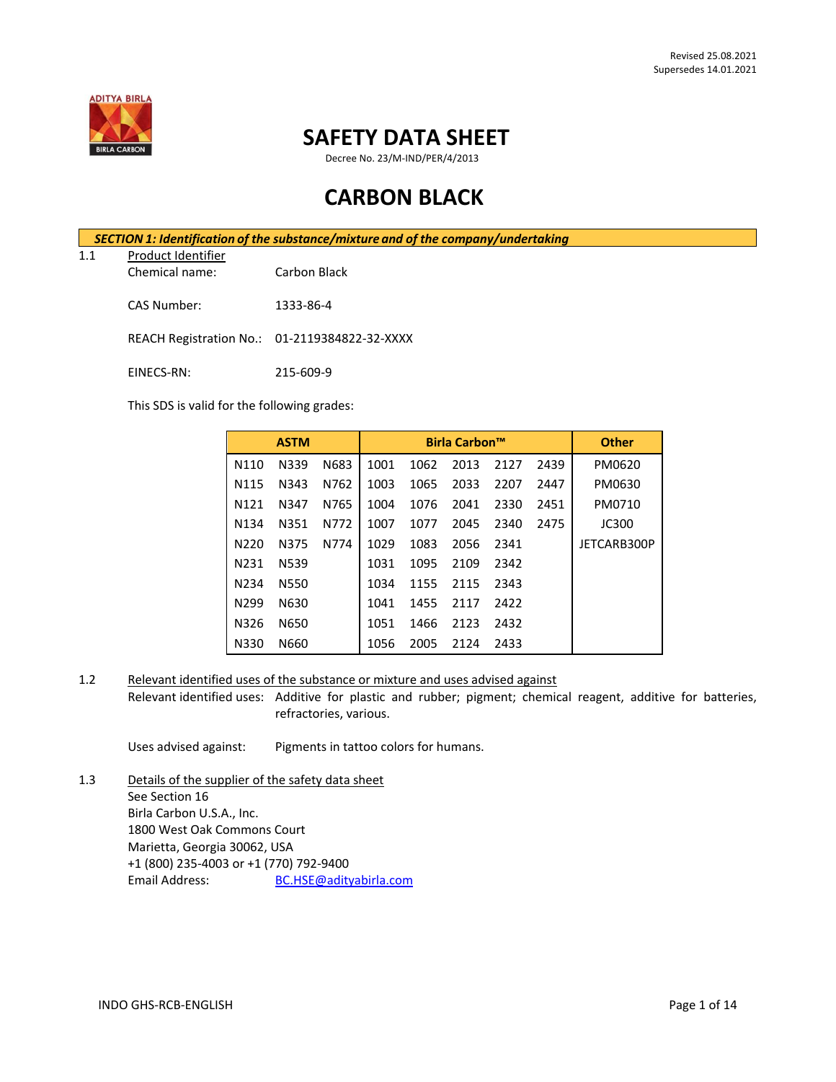

## **SAFETY DATA SHEET**

Decree No. 23/M-IND/PER/4/2013

# **CARBON BLACK**

*SECTION 1: Identification of the substance/mixture and of the company/undertaking*

1.1 Product Identifier

Chemical name: Carbon Black

CAS Number: 1333-86-4

REACH Registration No.: 01-2119384822-32-XXXX

EINECS-RN: 215-609-9

This SDS is valid for the following grades:

|                   | <b>ASTM</b> |      |      | <b>Birla Carbon™</b> |      |      |      | <b>Other</b> |
|-------------------|-------------|------|------|----------------------|------|------|------|--------------|
| N110              | N339        | N683 | 1001 | 1062                 | 2013 | 2127 | 2439 | PM0620       |
| N <sub>115</sub>  | N343        | N762 | 1003 | 1065                 | 2033 | 2207 | 2447 | PM0630       |
| N <sub>121</sub>  | N347        | N765 | 1004 | 1076                 | 2041 | 2330 | 2451 | PM0710       |
| N <sub>1</sub> 34 | N351        | N772 | 1007 | 1077                 | 2045 | 2340 | 2475 | JC300        |
| N220              | N375        | N774 | 1029 | 1083                 | 2056 | 2341 |      | JETCARB300P  |
| N <sub>2</sub> 31 | N539        |      | 1031 | 1095                 | 2109 | 2342 |      |              |
| N <sub>2</sub> 34 | N550        |      | 1034 | 1155                 | 2115 | 2343 |      |              |
| N <sub>299</sub>  | N630        |      | 1041 | 1455                 | 2117 | 2422 |      |              |
| N326              | N650        |      | 1051 | 1466                 | 2123 | 2432 |      |              |
| N330              | N660        |      | 1056 | 2005                 | 2124 | 2433 |      |              |

1.2 Relevant identified uses of the substance or mixture and uses advised against

Relevant identified uses: Additive for plastic and rubber; pigment; chemical reagent, additive for batteries, refractories, various.

Uses advised against: Pigments in tattoo colors for humans.

1.3 Details of the supplier of the safety data sheet See Section 16 Birla Carbon U.S.A., Inc. 1800 West Oak Commons Court Marietta, Georgia 30062, USA +1 (800) 235-4003 or +1 (770) 792-9400 Email Address: [BC.HSE@adityabirla.com](mailto:BC.HSE@adityabirla.com)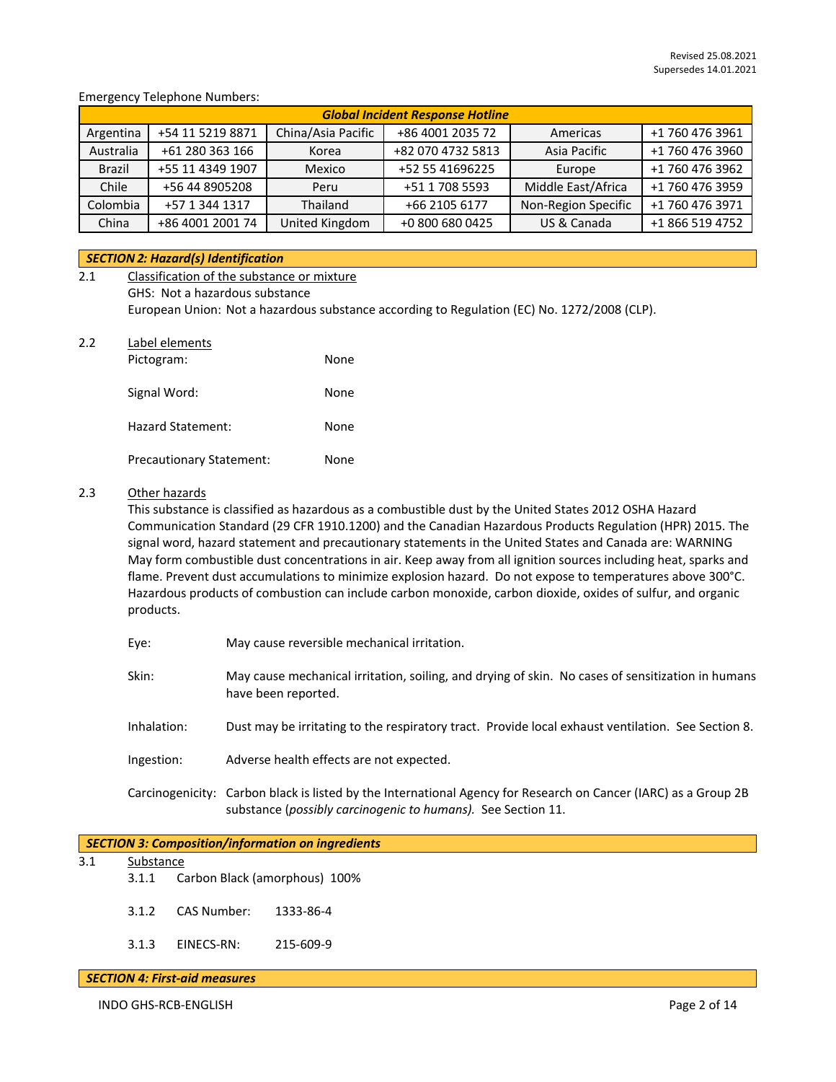## Emergency Telephone Numbers:

| <b>Global Incident Response Hotline</b> |                  |                    |                   |                     |                 |  |
|-----------------------------------------|------------------|--------------------|-------------------|---------------------|-----------------|--|
| Argentina                               | +54 11 5219 8871 | China/Asia Pacific | +86 4001 2035 72  | Americas            | +1 760 476 3961 |  |
| Australia                               | +61 280 363 166  | Korea              | +82 070 4732 5813 | Asia Pacific        | +1 760 476 3960 |  |
| Brazil                                  | +55 11 4349 1907 | Mexico             | +52 55 41696225   | Europe              | +1 760 476 3962 |  |
| Chile                                   | +56 44 8905208   | Peru               | +51 1 708 5593    | Middle East/Africa  | +1 760 476 3959 |  |
| Colombia                                | +57 1 344 1317   | Thailand           | +66 2105 6177     | Non-Region Specific | +1 760 476 3971 |  |
| China                                   | +86 4001 2001 74 | United Kingdom     | +0 800 680 0425   | US & Canada         | +1 866 519 4752 |  |

## *SECTION 2: Hazard(s) Identification*

| 2.1 | Classification of the substance or mixture |                                                                                             |
|-----|--------------------------------------------|---------------------------------------------------------------------------------------------|
|     | GHS: Not a hazardous substance             |                                                                                             |
|     |                                            | European Union: Not a hazardous substance according to Regulation (EC) No. 1272/2008 (CLP). |
| 2.2 | Label elements                             |                                                                                             |
|     | Dictogram:                                 | <b>None</b>                                                                                 |

| <b>FILLURIAIII.</b>             | none |
|---------------------------------|------|
| Signal Word:                    | None |
| Hazard Statement:               | None |
| <b>Precautionary Statement:</b> | None |

## 2.3 Other hazards

This substance is classified as hazardous as a combustible dust by the United States 2012 OSHA Hazard Communication Standard (29 CFR 1910.1200) and the Canadian Hazardous Products Regulation (HPR) 2015. The signal word, hazard statement and precautionary statements in the United States and Canada are: WARNING May form combustible dust concentrations in air. Keep away from all ignition sources including heat, sparks and flame. Prevent dust accumulations to minimize explosion hazard. Do not expose to temperatures above 300°C. Hazardous products of combustion can include carbon monoxide, carbon dioxide, oxides of sulfur, and organic products.

- Eye: May cause reversible mechanical irritation.
- Skin: May cause mechanical irritation, soiling, and drying of skin. No cases of sensitization in humans have been reported.
- Inhalation: Dust may be irritating to the respiratory tract. Provide local exhaust ventilation. See Section 8.
- Ingestion: Adverse health effects are not expected.
- Carcinogenicity: Carbon black is listed by the International Agency for Research on Cancer (IARC) as a Group 2B substance (*possibly carcinogenic to humans).* See Section 11.

| SECTION 3: Composition/information on ingredients |           |             |                               |  |  |  |  |
|---------------------------------------------------|-----------|-------------|-------------------------------|--|--|--|--|
| 3.1                                               | Substance |             |                               |  |  |  |  |
|                                                   | 3.1.1     |             | Carbon Black (amorphous) 100% |  |  |  |  |
|                                                   | 3.1.2     | CAS Number: | 1333-86-4                     |  |  |  |  |
|                                                   | 3.1.3     | EINECS-RN:  | 215-609-9                     |  |  |  |  |

#### *SECTION 4: First-aid measures*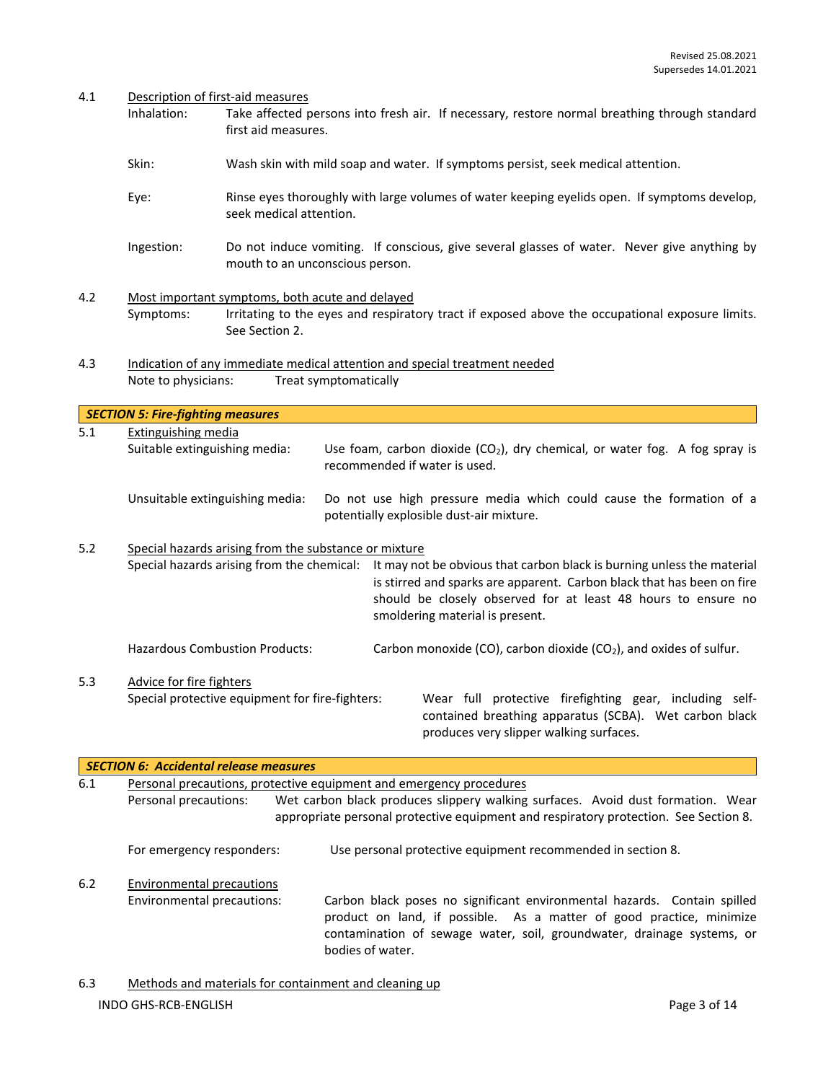#### 4.1 Description of first-aid measures

*SECTION 5: Fire-fighting measures*

- Inhalation: Take affected persons into fresh air. If necessary, restore normal breathing through standard first aid measures.
- Skin: Wash skin with mild soap and water. If symptoms persist, seek medical attention.
- Eye: Rinse eyes thoroughly with large volumes of water keeping eyelids open. If symptoms develop, seek medical attention.
- Ingestion: Do not induce vomiting. If conscious, give several glasses of water. Never give anything by mouth to an unconscious person.
- 4.2 Most important symptoms, both acute and delayed Symptoms: Irritating to the eyes and respiratory tract if exposed above the occupational exposure limits. See Section 2.
- 4.3 Indication of any immediate medical attention and special treatment needed Note to physicians: Treat symptomatically

5.1 Extinguishing media Suitable extinguishing media: Use foam, carbon dioxide  $(CO<sub>2</sub>)$ , dry chemical, or water fog. A fog spray is recommended if water is used. Unsuitable extinguishing media: Do not use high pressure media which could cause the formation of a potentially explosible dust-air mixture. 5.2 Special hazards arising from the substance or mixture Special hazards arising from the chemical: It may not be obvious that carbon black is burning unless the material

is stirred and sparks are apparent. Carbon black that has been on fire should be closely observed for at least 48 hours to ensure no smoldering material is present.

Hazardous Combustion Products: Carbon monoxide (CO), carbon dioxide (CO<sub>2</sub>), and oxides of sulfur.

5.3 Advice for fire fighters

Special protective equipment for fire-fighters: Wear full protective firefighting gear, including selfcontained breathing apparatus (SCBA). Wet carbon black produces very slipper walking surfaces.

|     | <b>SECTION 6: Accidental release measures</b>                       |                                                                                                                                                                                                                                                |
|-----|---------------------------------------------------------------------|------------------------------------------------------------------------------------------------------------------------------------------------------------------------------------------------------------------------------------------------|
| 6.1 | Personal precautions, protective equipment and emergency procedures |                                                                                                                                                                                                                                                |
|     | Personal precautions:                                               | Wet carbon black produces slippery walking surfaces. Avoid dust formation. Wear<br>appropriate personal protective equipment and respiratory protection. See Section 8.                                                                        |
|     | For emergency responders:                                           | Use personal protective equipment recommended in section 8.                                                                                                                                                                                    |
| 6.2 | <b>Environmental precautions</b>                                    |                                                                                                                                                                                                                                                |
|     | Environmental precautions:                                          | Carbon black poses no significant environmental hazards. Contain spilled<br>product on land, if possible. As a matter of good practice, minimize<br>contamination of sewage water, soil, groundwater, drainage systems, or<br>bodies of water. |

INDO GHS-RCB-ENGLISH Page 3 of 14 6.3 Methods and materials for containment and cleaning up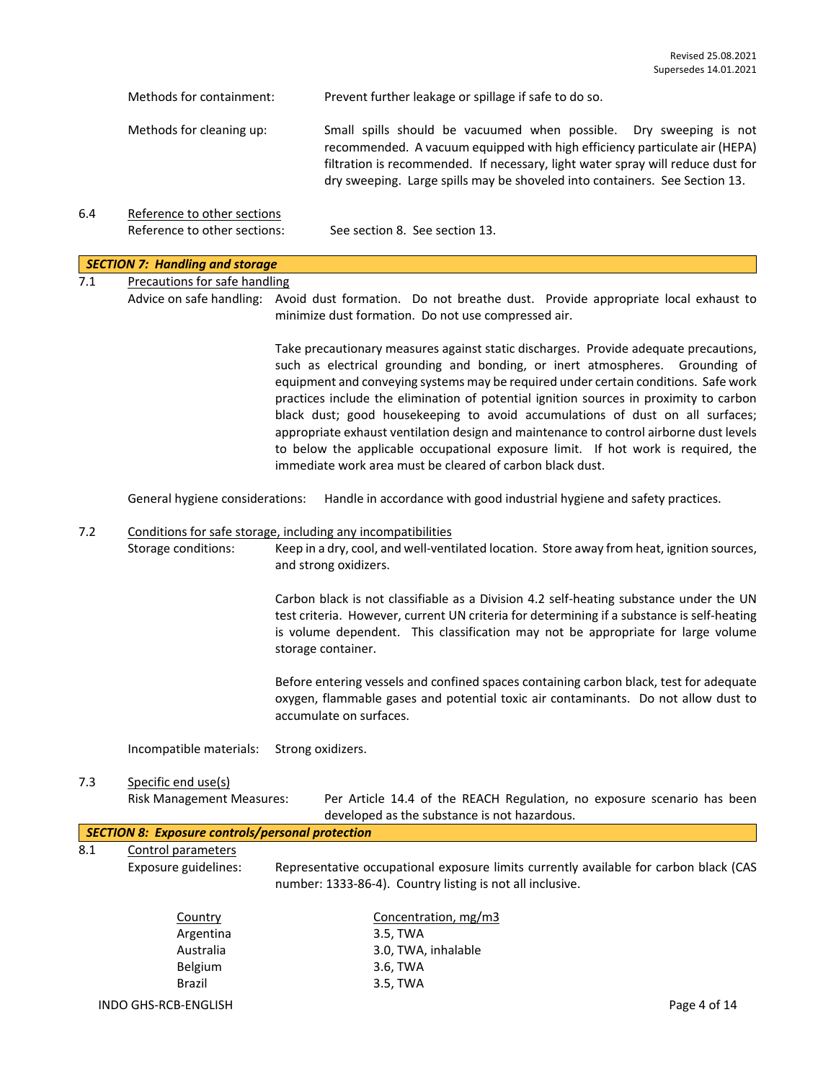|     | Methods for containment:                                    | Prevent further leakage or spillage if safe to do so.                                                                                                                                                                                                                                                                                                                                                                                                                                                                                                                                                                                                                              |  |  |
|-----|-------------------------------------------------------------|------------------------------------------------------------------------------------------------------------------------------------------------------------------------------------------------------------------------------------------------------------------------------------------------------------------------------------------------------------------------------------------------------------------------------------------------------------------------------------------------------------------------------------------------------------------------------------------------------------------------------------------------------------------------------------|--|--|
|     | Methods for cleaning up:                                    | Small spills should be vacuumed when possible. Dry sweeping is not<br>recommended. A vacuum equipped with high efficiency particulate air (HEPA)<br>filtration is recommended. If necessary, light water spray will reduce dust for<br>dry sweeping. Large spills may be shoveled into containers. See Section 13.                                                                                                                                                                                                                                                                                                                                                                 |  |  |
| 6.4 | Reference to other sections<br>Reference to other sections: | See section 8. See section 13.                                                                                                                                                                                                                                                                                                                                                                                                                                                                                                                                                                                                                                                     |  |  |
|     |                                                             |                                                                                                                                                                                                                                                                                                                                                                                                                                                                                                                                                                                                                                                                                    |  |  |
|     | <b>SECTION 7: Handling and storage</b>                      |                                                                                                                                                                                                                                                                                                                                                                                                                                                                                                                                                                                                                                                                                    |  |  |
| 7.1 | <b>Precautions for safe handling</b>                        |                                                                                                                                                                                                                                                                                                                                                                                                                                                                                                                                                                                                                                                                                    |  |  |
|     |                                                             | Advice on safe handling: Avoid dust formation. Do not breathe dust. Provide appropriate local exhaust to<br>minimize dust formation. Do not use compressed air.                                                                                                                                                                                                                                                                                                                                                                                                                                                                                                                    |  |  |
|     |                                                             | Take precautionary measures against static discharges. Provide adequate precautions,<br>such as electrical grounding and bonding, or inert atmospheres. Grounding of<br>equipment and conveying systems may be required under certain conditions. Safe work<br>practices include the elimination of potential ignition sources in proximity to carbon<br>black dust; good housekeeping to avoid accumulations of dust on all surfaces;<br>appropriate exhaust ventilation design and maintenance to control airborne dust levels<br>to below the applicable occupational exposure limit. If hot work is required, the<br>immediate work area must be cleared of carbon black dust. |  |  |
|     | General hygiene considerations:                             | Handle in accordance with good industrial hygiene and safety practices.                                                                                                                                                                                                                                                                                                                                                                                                                                                                                                                                                                                                            |  |  |
| 7.2 |                                                             | Conditions for safe storage, including any incompatibilities                                                                                                                                                                                                                                                                                                                                                                                                                                                                                                                                                                                                                       |  |  |
|     | Storage conditions:                                         | Keep in a dry, cool, and well-ventilated location. Store away from heat, ignition sources,<br>and strong oxidizers.                                                                                                                                                                                                                                                                                                                                                                                                                                                                                                                                                                |  |  |
|     |                                                             | Carbon black is not classifiable as a Division 4.2 self-heating substance under the UN<br>test criteria. However, current UN criteria for determining if a substance is self-heating<br>is volume dependent. This classification may not be appropriate for large volume<br>storage container.                                                                                                                                                                                                                                                                                                                                                                                     |  |  |
|     |                                                             | Before entering vessels and confined spaces containing carbon black, test for adequate<br>oxygen, flammable gases and potential toxic air contaminants. Do not allow dust to<br>accumulate on surfaces.                                                                                                                                                                                                                                                                                                                                                                                                                                                                            |  |  |
|     | Incompatible materials:                                     | Strong oxidizers.                                                                                                                                                                                                                                                                                                                                                                                                                                                                                                                                                                                                                                                                  |  |  |
| 7.3 | Specific end use(s)                                         |                                                                                                                                                                                                                                                                                                                                                                                                                                                                                                                                                                                                                                                                                    |  |  |
|     | <b>Risk Management Measures:</b>                            | Per Article 14.4 of the REACH Regulation, no exposure scenario has been<br>developed as the substance is not hazardous.                                                                                                                                                                                                                                                                                                                                                                                                                                                                                                                                                            |  |  |
|     | <b>SECTION 8: Exposure controls/personal protection</b>     |                                                                                                                                                                                                                                                                                                                                                                                                                                                                                                                                                                                                                                                                                    |  |  |
| 8.1 | Control parameters                                          |                                                                                                                                                                                                                                                                                                                                                                                                                                                                                                                                                                                                                                                                                    |  |  |
|     | Exposure guidelines:                                        | Representative occupational exposure limits currently available for carbon black (CAS<br>number: 1333-86-4). Country listing is not all inclusive.                                                                                                                                                                                                                                                                                                                                                                                                                                                                                                                                 |  |  |
|     | Country                                                     | Concentration, mg/m3                                                                                                                                                                                                                                                                                                                                                                                                                                                                                                                                                                                                                                                               |  |  |
|     | Argentina                                                   | 3.5, TWA                                                                                                                                                                                                                                                                                                                                                                                                                                                                                                                                                                                                                                                                           |  |  |
|     | Australia                                                   | 3.0, TWA, inhalable                                                                                                                                                                                                                                                                                                                                                                                                                                                                                                                                                                                                                                                                |  |  |
|     | Belgium                                                     | 3.6, TWA                                                                                                                                                                                                                                                                                                                                                                                                                                                                                                                                                                                                                                                                           |  |  |
|     | Brazil                                                      | 3.5, TWA                                                                                                                                                                                                                                                                                                                                                                                                                                                                                                                                                                                                                                                                           |  |  |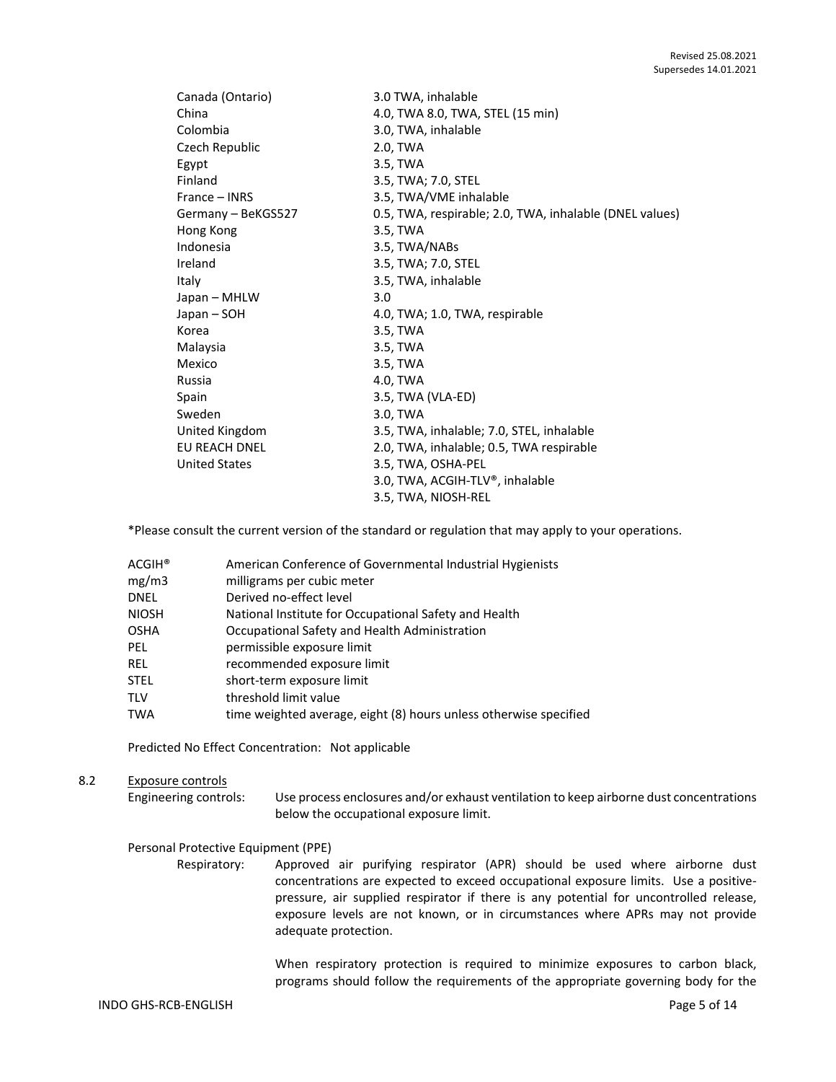| Canada (Ontario)     | 3.0 TWA, inhalable                                      |
|----------------------|---------------------------------------------------------|
| China                | 4.0, TWA 8.0, TWA, STEL (15 min)                        |
| Colombia             | 3.0, TWA, inhalable                                     |
| Czech Republic       | 2.0, TWA                                                |
| Egypt                | 3.5, TWA                                                |
| Finland              | 3.5, TWA; 7.0, STEL                                     |
| France – INRS        | 3.5, TWA/VME inhalable                                  |
| Germany - BeKGS527   | 0.5, TWA, respirable; 2.0, TWA, inhalable (DNEL values) |
| Hong Kong            | 3.5, TWA                                                |
| Indonesia            | 3.5, TWA/NABs                                           |
| Ireland              | 3.5, TWA; 7.0, STEL                                     |
| Italy                | 3.5, TWA, inhalable                                     |
| Japan - MHLW         | 3.0                                                     |
| Japan – SOH          | 4.0, TWA; 1.0, TWA, respirable                          |
| Korea                | 3.5, TWA                                                |
| Malaysia             | 3.5, TWA                                                |
| Mexico               | 3.5, TWA                                                |
| Russia               | 4.0. TWA                                                |
| Spain                | 3.5, TWA (VLA-ED)                                       |
| Sweden               | 3.0, TWA                                                |
| United Kingdom       | 3.5, TWA, inhalable; 7.0, STEL, inhalable               |
| <b>EU REACH DNEL</b> | 2.0, TWA, inhalable; 0.5, TWA respirable                |
| <b>United States</b> | 3.5, TWA, OSHA-PEL                                      |
|                      | 3.0, TWA, ACGIH-TLV®, inhalable                         |
|                      | 3.5, TWA, NIOSH-REL                                     |

\*Please consult the current version of the standard or regulation that may apply to your operations.

| ACGIH® | American Conference of Governmental Industrial Hygienists         |
|--------|-------------------------------------------------------------------|
| mg/m3  | milligrams per cubic meter                                        |
| DNEL   | Derived no-effect level                                           |
| NIOSH  | National Institute for Occupational Safety and Health             |
| OSHA   | Occupational Safety and Health Administration                     |
| PEL    | permissible exposure limit                                        |
| REL    | recommended exposure limit                                        |
| STEL   | short-term exposure limit                                         |
| TLV    | threshold limit value                                             |
| TWA    | time weighted average, eight (8) hours unless otherwise specified |

Predicted No Effect Concentration: Not applicable

## 8.2 Exposure controls

Engineering controls: Use process enclosures and/or exhaust ventilation to keep airborne dust concentrations below the occupational exposure limit.

#### Personal Protective Equipment (PPE)

Respiratory: Approved air purifying respirator (APR) should be used where airborne dust concentrations are expected to exceed occupational exposure limits. Use a positivepressure, air supplied respirator if there is any potential for uncontrolled release, exposure levels are not known, or in circumstances where APRs may not provide adequate protection.

> When respiratory protection is required to minimize exposures to carbon black, programs should follow the requirements of the appropriate governing body for the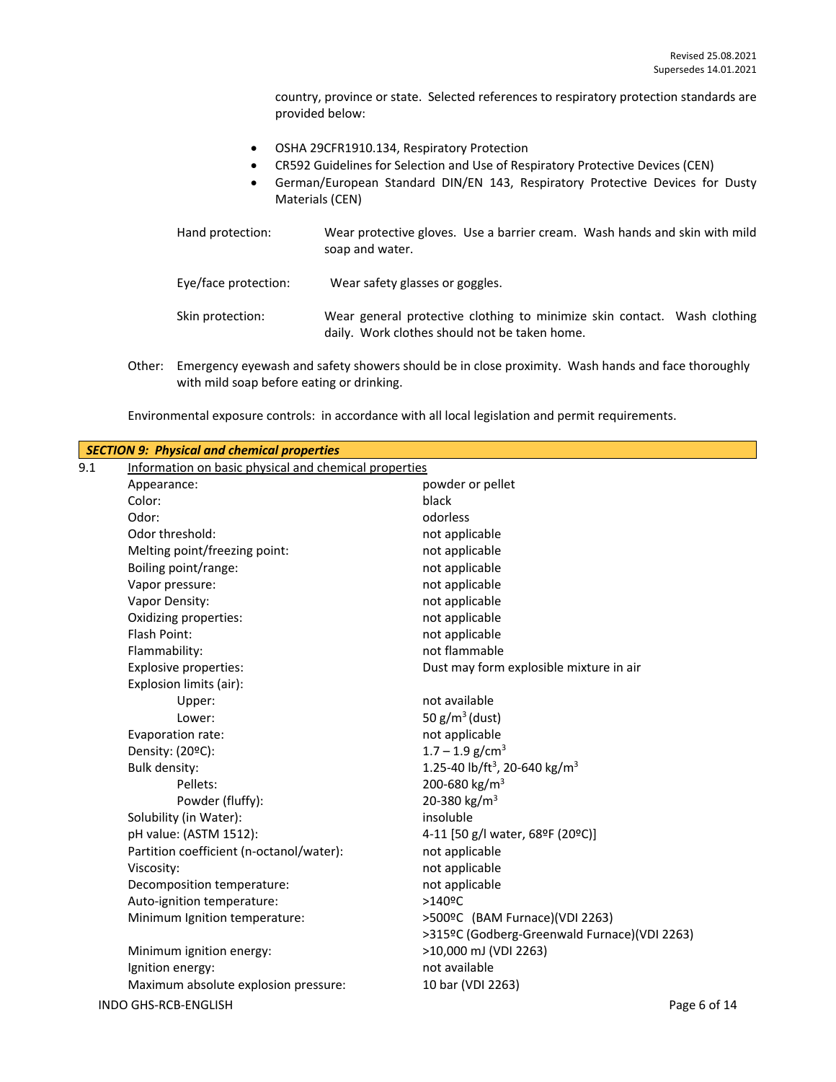country, province or state. Selected references to respiratory protection standards are provided below:

- OSHA 29CFR1910.134, Respiratory Protection
- CR592 Guidelines for Selection and Use of Respiratory Protective Devices (CEN)
- German/European Standard DIN/EN 143, Respiratory Protective Devices for Dusty Materials (CEN)

| Hand protection:     | Wear protective gloves. Use a barrier cream. Wash hands and skin with mild<br>soap and water.                             |
|----------------------|---------------------------------------------------------------------------------------------------------------------------|
| Eye/face protection: | Wear safety glasses or goggles.                                                                                           |
| Skin protection:     | Wear general protective clothing to minimize skin contact. Wash clothing<br>daily. Work clothes should not be taken home. |

Other: Emergency eyewash and safety showers should be in close proximity. Wash hands and face thoroughly with mild soap before eating or drinking.

|     | <b>SECTION 9: Physical and chemical properties</b>    |                                                       |  |  |  |
|-----|-------------------------------------------------------|-------------------------------------------------------|--|--|--|
| 9.1 | Information on basic physical and chemical properties |                                                       |  |  |  |
|     | Appearance:                                           | powder or pellet                                      |  |  |  |
|     | Color:                                                | black                                                 |  |  |  |
|     | Odor:                                                 | odorless                                              |  |  |  |
|     | Odor threshold:                                       | not applicable                                        |  |  |  |
|     | Melting point/freezing point:                         | not applicable                                        |  |  |  |
|     | Boiling point/range:                                  | not applicable                                        |  |  |  |
|     | Vapor pressure:                                       | not applicable                                        |  |  |  |
|     | Vapor Density:                                        | not applicable                                        |  |  |  |
|     | Oxidizing properties:                                 | not applicable                                        |  |  |  |
|     | Flash Point:                                          | not applicable                                        |  |  |  |
|     | Flammability:                                         | not flammable                                         |  |  |  |
|     | <b>Explosive properties:</b>                          | Dust may form explosible mixture in air               |  |  |  |
|     | Explosion limits (air):                               |                                                       |  |  |  |
|     | Upper:                                                | not available                                         |  |  |  |
|     | Lower:                                                | 50 $g/m^3$ (dust)                                     |  |  |  |
|     | Evaporation rate:                                     | not applicable                                        |  |  |  |
|     | Density: (20°C):                                      | $1.7 - 1.9$ g/cm <sup>3</sup>                         |  |  |  |
|     | Bulk density:                                         | 1.25-40 lb/ft <sup>3</sup> , 20-640 kg/m <sup>3</sup> |  |  |  |
|     | Pellets:                                              | 200-680 kg/m <sup>3</sup>                             |  |  |  |
|     | Powder (fluffy):                                      | 20-380 kg/m <sup>3</sup>                              |  |  |  |
|     | Solubility (in Water):                                | insoluble                                             |  |  |  |
|     | pH value: (ASTM 1512):                                | 4-11 [50 g/l water, 68ºF (20ºC)]                      |  |  |  |
|     | Partition coefficient (n-octanol/water):              | not applicable                                        |  |  |  |
|     | Viscosity:                                            | not applicable                                        |  |  |  |
|     | Decomposition temperature:                            | not applicable                                        |  |  |  |
|     | Auto-ignition temperature:                            | $>140$ <sup>o</sup> C                                 |  |  |  |
|     | Minimum Ignition temperature:                         | >500ºC (BAM Furnace)(VDI 2263)                        |  |  |  |
|     |                                                       | >315ºC (Godberg-Greenwald Furnace)(VDI 2263)          |  |  |  |
|     | Minimum ignition energy:                              | >10,000 mJ (VDI 2263)                                 |  |  |  |
|     | Ignition energy:                                      | not available                                         |  |  |  |
|     | Maximum absolute explosion pressure:                  | 10 bar (VDI 2263)                                     |  |  |  |
|     | INDO GHS-RCB-ENGLISH                                  | Page 6 of 14                                          |  |  |  |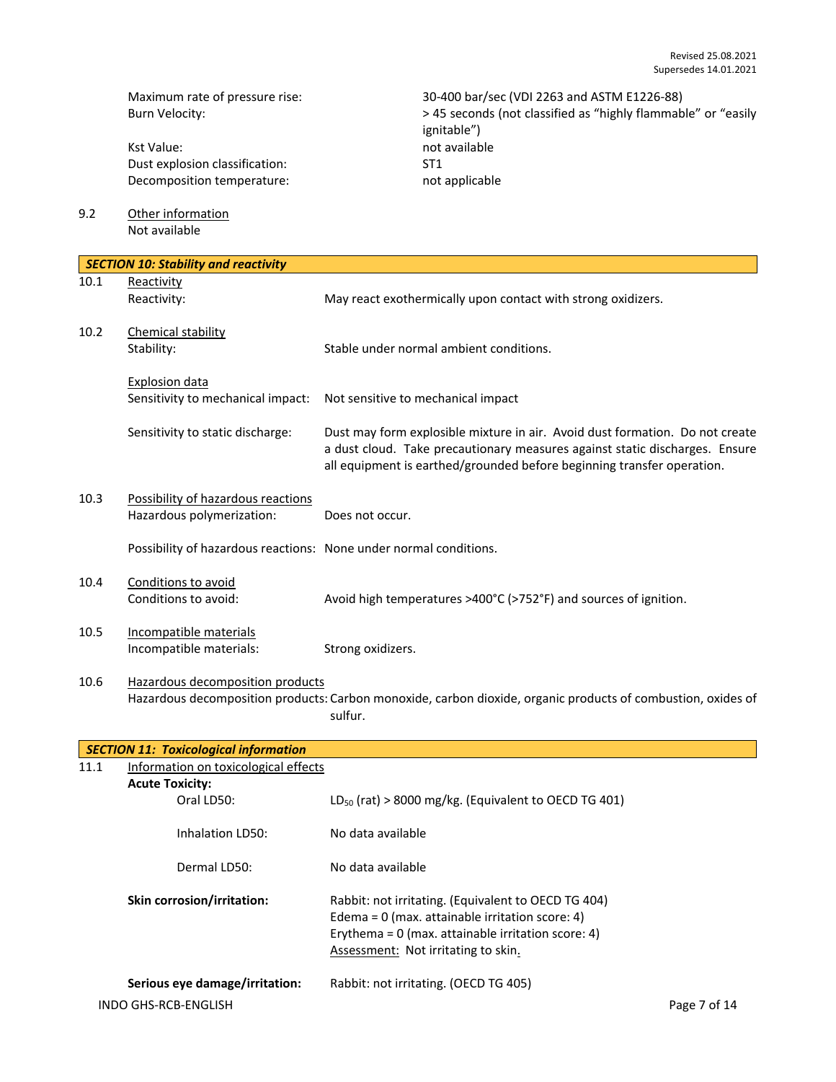Kst Value: not available Dust explosion classification: ST1<br>Decomposition temperature: ST1<br>not applicable Decomposition temperature:

Maximum rate of pressure rise: 30-400 bar/sec (VDI 2263 and ASTM E1226-88)<br>Burn Velocity: 30 and ASTM E1226-88) > 45 seconds (not classified as "highly flammab > 45 seconds (not classified as "highly flammable" or "easily ignitable")

9.2 Other information Not available

| <b>SECTION 10: Stability and reactivity</b> |                                                                   |                                                                                                                                                                                                                                       |
|---------------------------------------------|-------------------------------------------------------------------|---------------------------------------------------------------------------------------------------------------------------------------------------------------------------------------------------------------------------------------|
| 10.1                                        | Reactivity<br>Reactivity:                                         | May react exothermically upon contact with strong oxidizers.                                                                                                                                                                          |
| 10.2                                        | Chemical stability<br>Stability:                                  | Stable under normal ambient conditions.                                                                                                                                                                                               |
|                                             | <b>Explosion data</b><br>Sensitivity to mechanical impact:        | Not sensitive to mechanical impact                                                                                                                                                                                                    |
|                                             | Sensitivity to static discharge:                                  | Dust may form explosible mixture in air. Avoid dust formation. Do not create<br>a dust cloud. Take precautionary measures against static discharges. Ensure<br>all equipment is earthed/grounded before beginning transfer operation. |
| 10.3                                        | Possibility of hazardous reactions<br>Hazardous polymerization:   | Does not occur.                                                                                                                                                                                                                       |
|                                             | Possibility of hazardous reactions: None under normal conditions. |                                                                                                                                                                                                                                       |
| 10.4                                        | Conditions to avoid<br>Conditions to avoid:                       | Avoid high temperatures >400°C (>752°F) and sources of ignition.                                                                                                                                                                      |
| 10.5                                        | Incompatible materials<br>Incompatible materials:                 | Strong oxidizers.                                                                                                                                                                                                                     |
| 10.6                                        | Hazardous decomposition products                                  | Hazardous decomposition products: Carbon monoxide, carbon dioxide, organic products of combustion, oxides of<br>sulfur.                                                                                                               |
|                                             | <b>SECTION 11: Toxicological information</b>                      |                                                                                                                                                                                                                                       |

|      | <u>32011011 221 TUMBURUGIUMI IIIJUHIIGHUIT</u> |                                                                                                                                                                  |              |
|------|------------------------------------------------|------------------------------------------------------------------------------------------------------------------------------------------------------------------|--------------|
| 11.1 | Information on toxicological effects           |                                                                                                                                                                  |              |
|      | <b>Acute Toxicity:</b>                         |                                                                                                                                                                  |              |
|      | Oral LD50:                                     | $LD_{50}$ (rat) > 8000 mg/kg. (Equivalent to OECD TG 401)                                                                                                        |              |
|      | Inhalation LD50:                               | No data available                                                                                                                                                |              |
|      | Dermal LD50:                                   | No data available                                                                                                                                                |              |
|      | <b>Skin corrosion/irritation:</b>              | Rabbit: not irritating. (Equivalent to OECD TG 404)<br>Edema = $0$ (max. attainable irritation score: 4)<br>Erythema = $0$ (max. attainable irritation score: 4) |              |
|      |                                                | Assessment: Not irritating to skin.                                                                                                                              |              |
|      | Serious eye damage/irritation:                 | Rabbit: not irritating. (OECD TG 405)                                                                                                                            |              |
|      | INDO GHS-RCB-ENGLISH                           |                                                                                                                                                                  | Page 7 of 14 |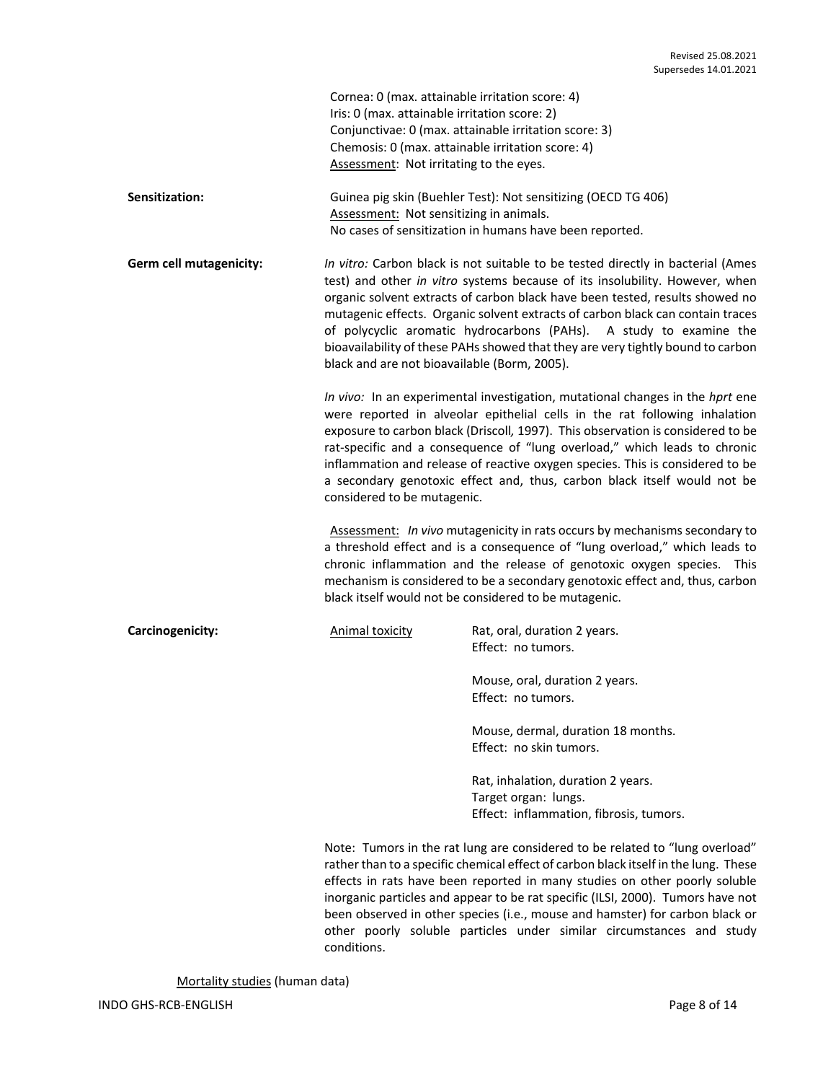| Cornea: 0 (max. attainable irritation score: 4)       |
|-------------------------------------------------------|
| Iris: 0 (max. attainable irritation score: 2)         |
| Conjunctivae: 0 (max. attainable irritation score: 3) |
| Chemosis: 0 (max. attainable irritation score: 4)     |
| Assessment: Not irritating to the eyes.               |

**Sensitization:** Guinea pig skin (Buehler Test): Not sensitizing (OECD TG 406) Assessment: Not sensitizing in animals. No cases of sensitization in humans have been reported.

**Germ cell mutagenicity:** *In vitro:* Carbon black is not suitable to be tested directly in bacterial (Ames test) and other *in vitro* systems because of its insolubility. However, when organic solvent extracts of carbon black have been tested, results showed no mutagenic effects. Organic solvent extracts of carbon black can contain traces of polycyclic aromatic hydrocarbons (PAHs). A study to examine the bioavailability of these PAHs showed that they are very tightly bound to carbon black and are not bioavailable (Borm, 2005).

> *In vivo:* In an experimental investigation, mutational changes in the *hprt* ene were reported in alveolar epithelial cells in the rat following inhalation exposure to carbon black (Driscoll*,* 1997). This observation is considered to be rat-specific and a consequence of "lung overload," which leads to chronic inflammation and release of reactive oxygen species. This is considered to be a secondary genotoxic effect and, thus, carbon black itself would not be considered to be mutagenic.

> Assessment: *In vivo* mutagenicity in rats occurs by mechanisms secondary to a threshold effect and is a consequence of "lung overload," which leads to chronic inflammation and the release of genotoxic oxygen species. This mechanism is considered to be a secondary genotoxic effect and, thus, carbon black itself would not be considered to be mutagenic.

**Carcinogenicity:** Animal toxicity Rat, oral, duration 2 years. Effect: no tumors.

> Mouse, oral, duration 2 years. Effect: no tumors.

Mouse, dermal, duration 18 months. Effect: no skin tumors.

Rat, inhalation, duration 2 years. Target organ: lungs. Effect: inflammation, fibrosis, tumors.

Note: Tumors in the rat lung are considered to be related to "lung overload" rather than to a specific chemical effect of carbon black itself in the lung. These effects in rats have been reported in many studies on other poorly soluble inorganic particles and appear to be rat specific (ILSI, 2000). Tumors have not been observed in other species (i.e., mouse and hamster) for carbon black or other poorly soluble particles under similar circumstances and study conditions.

Mortality studies (human data)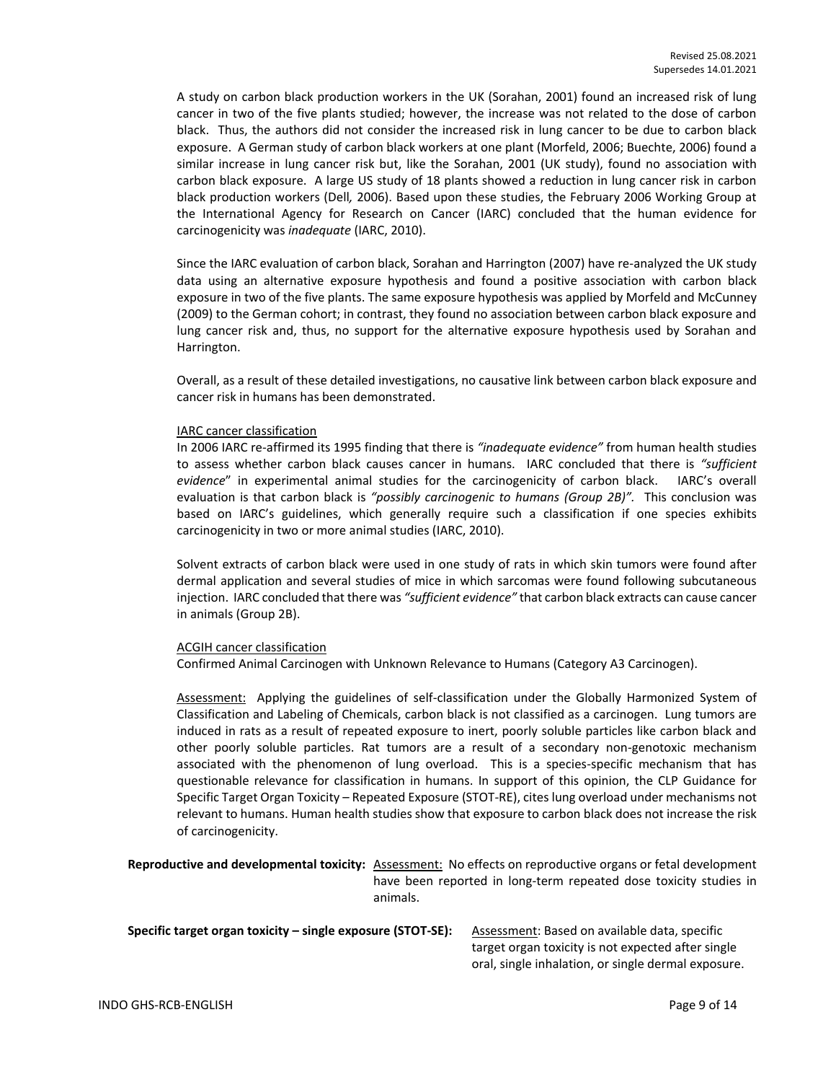A study on carbon black production workers in the UK (Sorahan, 2001) found an increased risk of lung cancer in two of the five plants studied; however, the increase was not related to the dose of carbon black. Thus, the authors did not consider the increased risk in lung cancer to be due to carbon black exposure. A German study of carbon black workers at one plant (Morfeld, 2006; Buechte, 2006) found a similar increase in lung cancer risk but, like the Sorahan, 2001 (UK study), found no association with carbon black exposure. A large US study of 18 plants showed a reduction in lung cancer risk in carbon black production workers (Dell*,* 2006). Based upon these studies, the February 2006 Working Group at the International Agency for Research on Cancer (IARC) concluded that the human evidence for carcinogenicity was *inadequate* (IARC, 2010).

Since the IARC evaluation of carbon black, Sorahan and Harrington (2007) have re-analyzed the UK study data using an alternative exposure hypothesis and found a positive association with carbon black exposure in two of the five plants. The same exposure hypothesis was applied by Morfeld and McCunney (2009) to the German cohort; in contrast, they found no association between carbon black exposure and lung cancer risk and, thus, no support for the alternative exposure hypothesis used by Sorahan and Harrington.

Overall, as a result of these detailed investigations, no causative link between carbon black exposure and cancer risk in humans has been demonstrated.

#### IARC cancer classification

In 2006 IARC re-affirmed its 1995 finding that there is *"inadequate evidence"* from human health studies to assess whether carbon black causes cancer in humans. IARC concluded that there is *"sufficient evidence*" in experimental animal studies for the carcinogenicity of carbon black. IARC's overall evaluation is that carbon black is *"possibly carcinogenic to humans (Group 2B)".* This conclusion was based on IARC's guidelines, which generally require such a classification if one species exhibits carcinogenicity in two or more animal studies (IARC, 2010).

Solvent extracts of carbon black were used in one study of rats in which skin tumors were found after dermal application and several studies of mice in which sarcomas were found following subcutaneous injection. IARC concluded that there was *"sufficient evidence"* that carbon black extracts can cause cancer in animals (Group 2B).

## ACGIH cancer classification

Confirmed Animal Carcinogen with Unknown Relevance to Humans (Category A3 Carcinogen).

Assessment: Applying the guidelines of self-classification under the Globally Harmonized System of Classification and Labeling of Chemicals, carbon black is not classified as a carcinogen. Lung tumors are induced in rats as a result of repeated exposure to inert, poorly soluble particles like carbon black and other poorly soluble particles. Rat tumors are a result of a secondary non-genotoxic mechanism associated with the phenomenon of lung overload. This is a species-specific mechanism that has questionable relevance for classification in humans. In support of this opinion, the CLP Guidance for Specific Target Organ Toxicity – Repeated Exposure (STOT-RE), cites lung overload under mechanisms not relevant to humans. Human health studies show that exposure to carbon black does not increase the risk of carcinogenicity.

**Reproductive and developmental toxicity:** Assessment: No effects on reproductive organs or fetal development have been reported in long-term repeated dose toxicity studies in animals.

| Specific target organ toxicity – single exposure (STOT-SE): | Assessment: Based on available data, specific       |
|-------------------------------------------------------------|-----------------------------------------------------|
|                                                             | target organ toxicity is not expected after single  |
|                                                             | oral, single inhalation, or single dermal exposure. |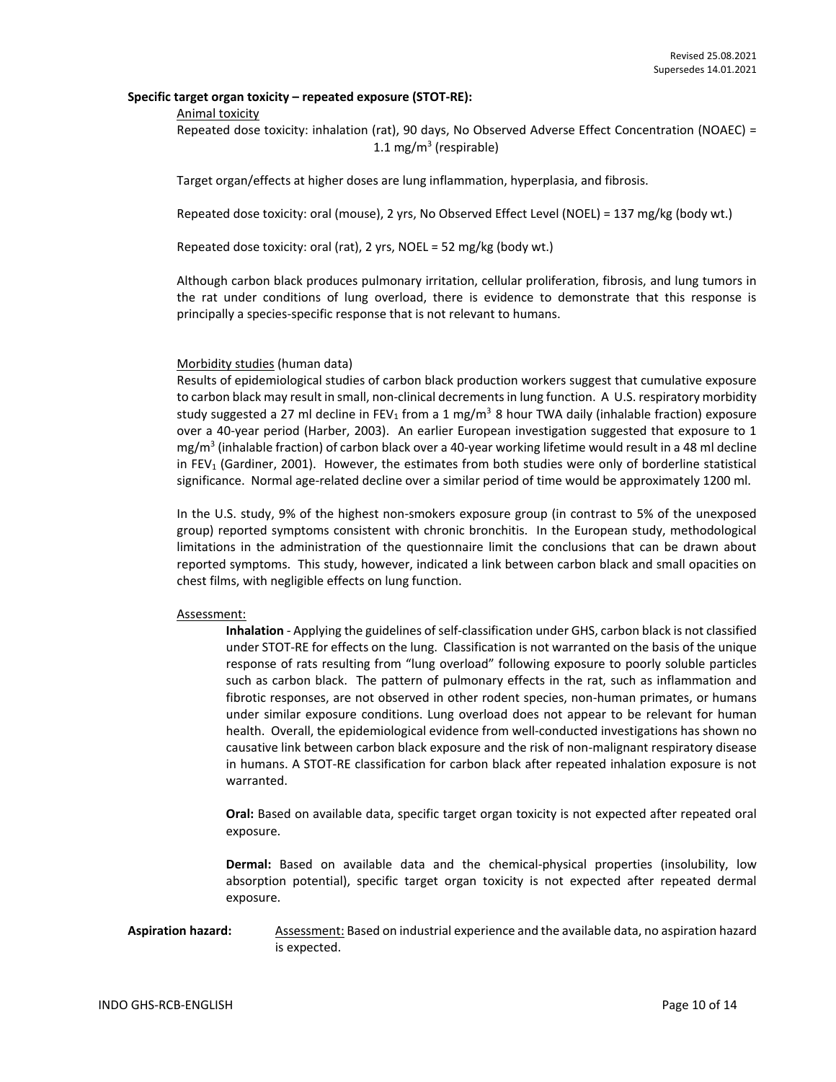## **Specific target organ toxicity – repeated exposure (STOT-RE):**

#### Animal toxicity

Repeated dose toxicity: inhalation (rat), 90 days, No Observed Adverse Effect Concentration (NOAEC) = 1.1 mg/m<sup>3</sup> (respirable)

Target organ/effects at higher doses are lung inflammation, hyperplasia, and fibrosis.

Repeated dose toxicity: oral (mouse), 2 yrs, No Observed Effect Level (NOEL) = 137 mg/kg (body wt.)

Repeated dose toxicity: oral (rat), 2 yrs, NOEL = 52 mg/kg (body wt.)

Although carbon black produces pulmonary irritation, cellular proliferation, fibrosis, and lung tumors in the rat under conditions of lung overload, there is evidence to demonstrate that this response is principally a species-specific response that is not relevant to humans.

#### Morbidity studies (human data)

Results of epidemiological studies of carbon black production workers suggest that cumulative exposure to carbon black may result in small, non-clinical decrements in lung function. A U.S. respiratory morbidity study suggested a 27 ml decline in FEV<sub>1</sub> from a 1 mg/m<sup>3</sup> 8 hour TWA daily (inhalable fraction) exposure over a 40-year period (Harber, 2003). An earlier European investigation suggested that exposure to 1 mg/m<sup>3</sup> (inhalable fraction) of carbon black over a 40-year working lifetime would result in a 48 ml decline in FEV<sub>1</sub> (Gardiner, 2001). However, the estimates from both studies were only of borderline statistical significance. Normal age-related decline over a similar period of time would be approximately 1200 ml.

In the U.S. study, 9% of the highest non-smokers exposure group (in contrast to 5% of the unexposed group) reported symptoms consistent with chronic bronchitis. In the European study, methodological limitations in the administration of the questionnaire limit the conclusions that can be drawn about reported symptoms. This study, however, indicated a link between carbon black and small opacities on chest films, with negligible effects on lung function.

#### Assessment:

**Inhalation** - Applying the guidelines of self-classification under GHS, carbon black is not classified under STOT-RE for effects on the lung. Classification is not warranted on the basis of the unique response of rats resulting from "lung overload" following exposure to poorly soluble particles such as carbon black. The pattern of pulmonary effects in the rat, such as inflammation and fibrotic responses, are not observed in other rodent species, non-human primates, or humans under similar exposure conditions. Lung overload does not appear to be relevant for human health. Overall, the epidemiological evidence from well-conducted investigations has shown no causative link between carbon black exposure and the risk of non-malignant respiratory disease in humans. A STOT-RE classification for carbon black after repeated inhalation exposure is not warranted.

**Oral:** Based on available data, specific target organ toxicity is not expected after repeated oral exposure.

**Dermal:** Based on available data and the chemical-physical properties (insolubility, low absorption potential), specific target organ toxicity is not expected after repeated dermal exposure.

## Aspiration hazard: Assessment: Based on industrial experience and the available data, no aspiration hazard is expected.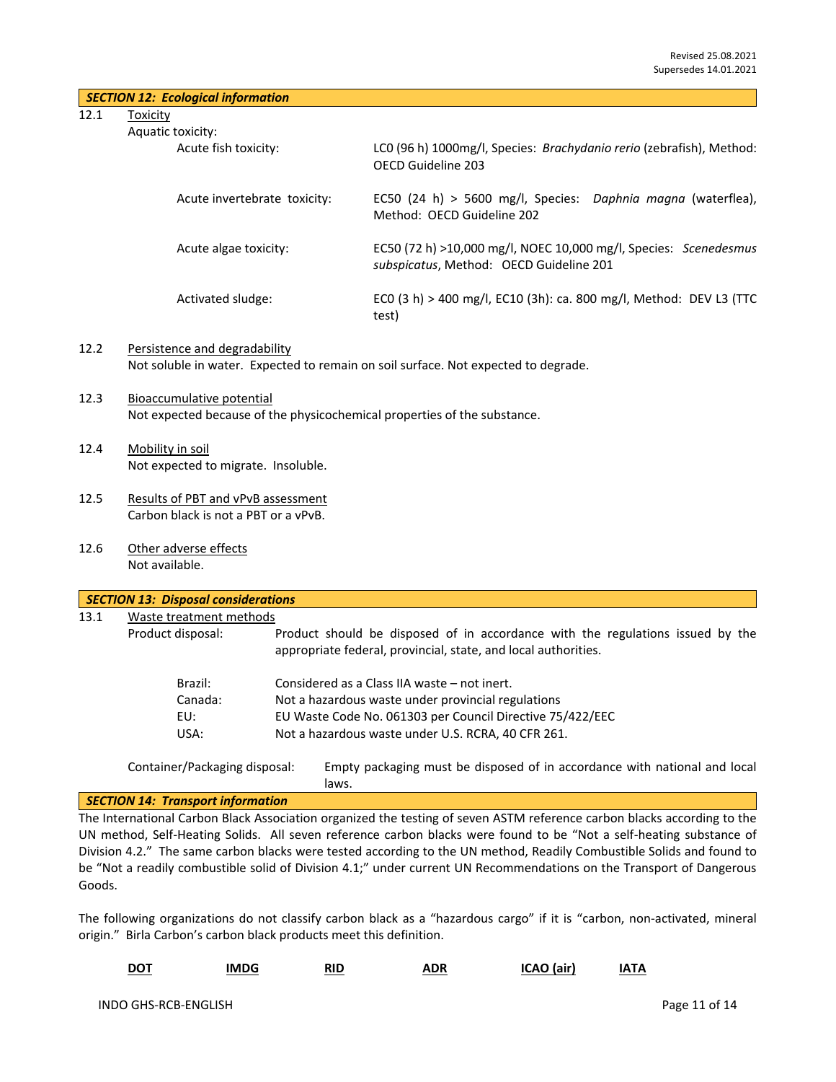| $\mid$ SECTION 12: Ecological information |  |
|-------------------------------------------|--|
|-------------------------------------------|--|

12.1 Toxicity

| ic toxicity:                 |                                                                                                             |
|------------------------------|-------------------------------------------------------------------------------------------------------------|
| Acute fish toxicity:         | LCO (96 h) 1000mg/l, Species: Brachydanio rerio (zebrafish), Method:<br>OFCD Guideline 203                  |
| Acute invertebrate toxicity: | EC50 (24 h) > 5600 mg/l, Species: Daphnia magna (waterflea),<br>Method: OECD Guideline 202                  |
| Acute algae toxicity:        | EC50 (72 h) >10,000 mg/l, NOEC 10,000 mg/l, Species: Scenedesmus<br>subspicatus, Method: OECD Guideline 201 |
| Activated sludge:            | ECO (3 h) > 400 mg/l, EC10 (3h): ca. 800 mg/l, Method: DEV L3 (TTC<br>test)                                 |

## 12.2 Persistence and degradability Not soluble in water. Expected to remain on soil surface. Not expected to degrade.

- 12.3 Bioaccumulative potential Not expected because of the physicochemical properties of the substance.
- 12.4 Mobility in soil Not expected to migrate. Insoluble.
- 12.5 Results of PBT and vPvB assessment Carbon black is not a PBT or a vPvB.
- 12.6 Other adverse effects Not available.

| 13.1 | Waste treatment methods |                                                                                                                                                  |
|------|-------------------------|--------------------------------------------------------------------------------------------------------------------------------------------------|
|      | Product disposal:       | Product should be disposed of in accordance with the regulations issued by the<br>appropriate federal, provincial, state, and local authorities. |
|      | Brazil:                 | Considered as a Class IIA waste – not inert.                                                                                                     |
|      | Canada:                 | Not a hazardous waste under provincial regulations                                                                                               |
|      | EU:                     | EU Waste Code No. 061303 per Council Directive 75/422/EEC                                                                                        |
|      | USA:                    | Not a hazardous waste under U.S. RCRA, 40 CFR 261.                                                                                               |

#### *SECTION 14: Transport information*

The International Carbon Black Association organized the testing of seven ASTM reference carbon blacks according to the UN method, Self-Heating Solids. All seven reference carbon blacks were found to be "Not a self-heating substance of Division 4.2." The same carbon blacks were tested according to the UN method, Readily Combustible Solids and found to be "Not a readily combustible solid of Division 4.1;" under current UN Recommendations on the Transport of Dangerous Goods.

The following organizations do not classify carbon black as a "hazardous cargo" if it is "carbon, non-activated, mineral origin." Birla Carbon's carbon black products meet this definition.

| <b>DOT</b><br>IMDG<br>RID | ADR | ICAO (air) | IATA |
|---------------------------|-----|------------|------|
|---------------------------|-----|------------|------|

laws.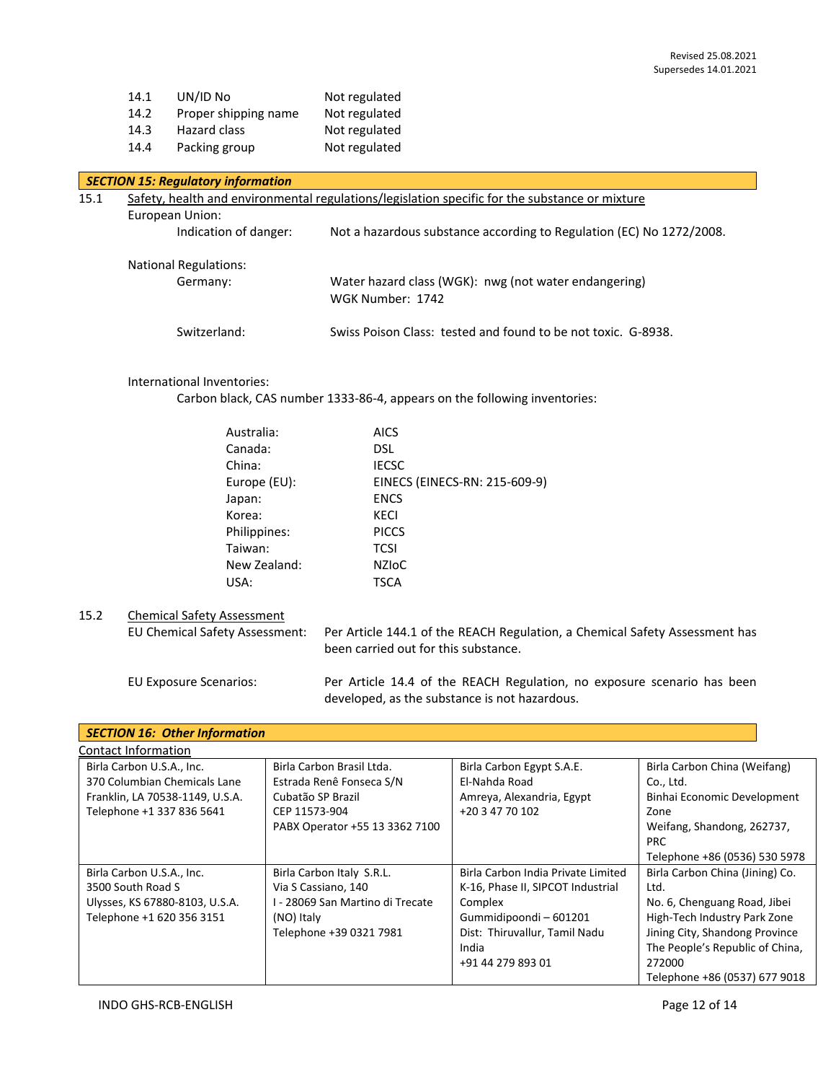| 14.1 | UN/ID No             | Not regulated |
|------|----------------------|---------------|
| 14.2 | Proper shipping name | Not regulated |
| 14.3 | Hazard class         | Not regulated |
| 14.4 | Packing group        | Not regulated |

## *SECTION 15: Regulatory information*

| 15.1 | European Union:                          | Safety, health and environmental regulations/legislation specific for the substance or mixture |
|------|------------------------------------------|------------------------------------------------------------------------------------------------|
|      | Indication of danger:                    | Not a hazardous substance according to Regulation (EC) No 1272/2008.                           |
|      | <b>National Regulations:</b><br>Germany: | Water hazard class (WGK): nwg (not water endangering)<br>WGK Number: 1742                      |
|      | Switzerland:                             | Swiss Poison Class: tested and found to be not toxic. G-8938.                                  |

## International Inventories:

Carbon black, CAS number 1333-86-4, appears on the following inventories:

| Australia:   | <b>AICS</b>                   |
|--------------|-------------------------------|
| Canada:      | <b>DSL</b>                    |
| China:       | <b>IECSC</b>                  |
| Europe (EU): | EINECS (EINECS-RN: 215-609-9) |
| Japan:       | <b>ENCS</b>                   |
| Korea:       | <b>KECI</b>                   |
| Philippines: | <b>PICCS</b>                  |
| Taiwan:      | <b>TCSI</b>                   |
| New Zealand: | <b>NZIOC</b>                  |
| USA:         | <b>TSCA</b>                   |
|              |                               |

## 15.2 Chemical Safety Assessment

EU Chemical Safety Assessment: Per Article 144.1 of the REACH Regulation, a Chemical Safety Assessment has been carried out for this substance.

EU Exposure Scenarios: Per Article 14.4 of the REACH Regulation, no exposure scenario has been developed, as the substance is not hazardous.

| <b>SECTION 16: Other Information</b>                                                                                      |                                                                                                                               |                                                                                                                                                                           |                                                                                                                                                                                                                         |  |
|---------------------------------------------------------------------------------------------------------------------------|-------------------------------------------------------------------------------------------------------------------------------|---------------------------------------------------------------------------------------------------------------------------------------------------------------------------|-------------------------------------------------------------------------------------------------------------------------------------------------------------------------------------------------------------------------|--|
| Contact Information                                                                                                       |                                                                                                                               |                                                                                                                                                                           |                                                                                                                                                                                                                         |  |
| Birla Carbon U.S.A., Inc.<br>370 Columbian Chemicals Lane<br>Franklin, LA 70538-1149, U.S.A.<br>Telephone +1 337 836 5641 | Birla Carbon Brasil Ltda.<br>Estrada Renê Fonseca S/N<br>Cubatão SP Brazil<br>CEP 11573-904<br>PABX Operator +55 13 3362 7100 | Birla Carbon Egypt S.A.E.<br>El-Nahda Road<br>Amreya, Alexandria, Egypt<br>+20 3 47 70 102                                                                                | Birla Carbon China (Weifang)<br>Co., Ltd.<br>Binhai Economic Development<br>Zone<br>Weifang, Shandong, 262737,<br><b>PRC</b><br>Telephone +86 (0536) 530 5978                                                           |  |
| Birla Carbon U.S.A., Inc.<br>3500 South Road S<br>Ulysses, KS 67880-8103, U.S.A.<br>Telephone +1 620 356 3151             | Birla Carbon Italy S.R.L.<br>Via S Cassiano, 140<br>I - 28069 San Martino di Trecate<br>(NO) Italy<br>Telephone +39 0321 7981 | Birla Carbon India Private Limited<br>K-16, Phase II, SIPCOT Industrial<br>Complex<br>Gummidipoondi-601201<br>Dist: Thiruvallur, Tamil Nadu<br>India<br>+91 44 279 893 01 | Birla Carbon China (Jining) Co.<br>Ltd.<br>No. 6, Chenguang Road, Jibei<br>High-Tech Industry Park Zone<br>Jining City, Shandong Province<br>The People's Republic of China,<br>272000<br>Telephone +86 (0537) 677 9018 |  |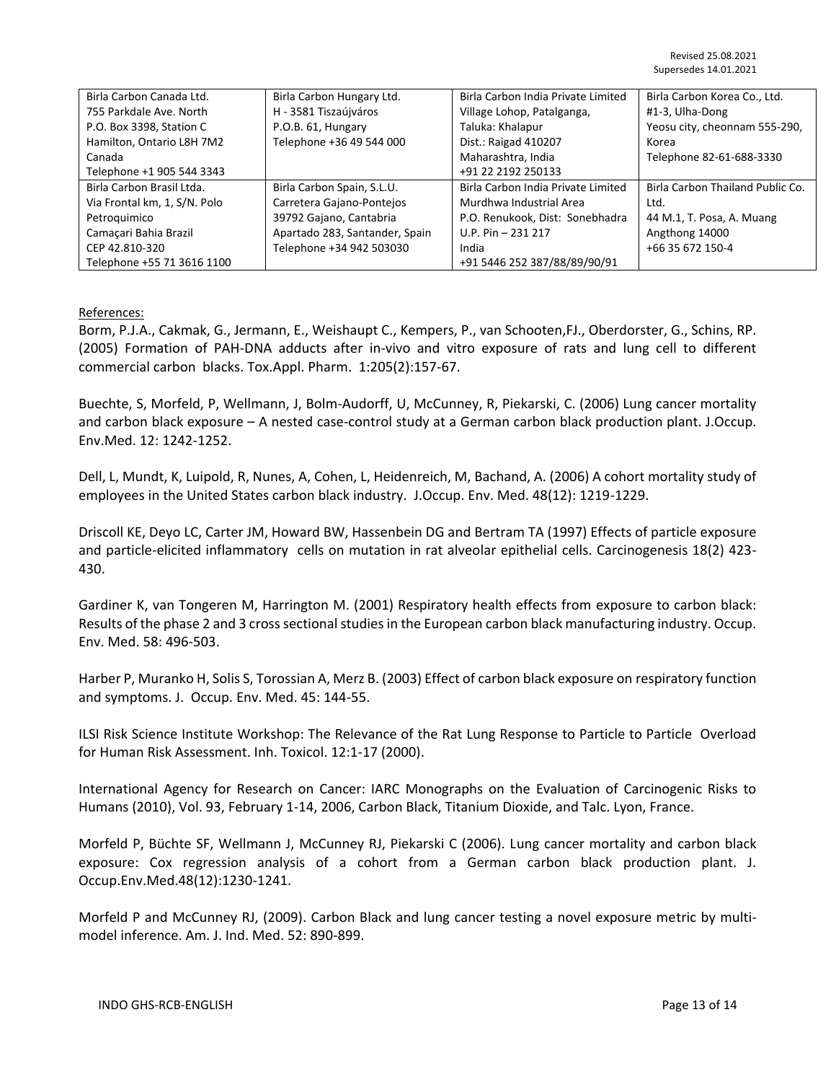| Birla Carbon Canada Ltd.     | Birla Carbon Hungary Ltd.      | Birla Carbon India Private Limited | Birla Carbon Korea Co., Ltd.     |
|------------------------------|--------------------------------|------------------------------------|----------------------------------|
| 755 Parkdale Ave. North      | H - 3581 Tiszaújváros          | Village Lohop, Patalganga,         | #1-3, Ulha-Dong                  |
| P.O. Box 3398, Station C     | P.O.B. 61, Hungary             | Taluka: Khalapur                   | Yeosu city, cheonnam 555-290,    |
| Hamilton, Ontario L8H 7M2    | Telephone +36 49 544 000       | Dist.: Raigad 410207               | Korea                            |
| Canada                       |                                | Maharashtra, India                 | Telephone 82-61-688-3330         |
| Telephone +1 905 544 3343    |                                | +91 22 2192 250133                 |                                  |
| Birla Carbon Brasil Ltda.    | Birla Carbon Spain, S.L.U.     | Birla Carbon India Private Limited | Birla Carbon Thailand Public Co. |
| Via Frontal km, 1, S/N. Polo | Carretera Gajano-Pontejos      | Murdhwa Industrial Area            | Ltd.                             |
| Petroquimico                 | 39792 Gajano, Cantabria        | P.O. Renukook, Dist: Sonebhadra    | 44 M.1, T. Posa, A. Muang        |
| Camaçari Bahia Brazil        | Apartado 283, Santander, Spain | $U.P. Pin - 231 217$               | Angthong 14000                   |
| CEP 42.810-320               | Telephone +34 942 503030       | India                              | +66 35 672 150-4                 |
| Telephone +55 71 3616 1100   |                                | +91 5446 252 387/88/89/90/91       |                                  |

## References:

Borm, P.J.A., Cakmak, G., Jermann, E., Weishaupt C., Kempers, P., van Schooten,FJ., Oberdorster, G., Schins, RP. (2005) Formation of PAH-DNA adducts after in-vivo and vitro exposure of rats and lung cell to different commercial carbon blacks. Tox.Appl. Pharm. 1:205(2):157-67.

Buechte, S, Morfeld, P, Wellmann, J, Bolm-Audorff, U, McCunney, R, Piekarski, C. (2006) Lung cancer mortality and carbon black exposure – A nested case-control study at a German carbon black production plant. J.Occup. Env.Med. 12: 1242-1252.

Dell, L, Mundt, K, Luipold, R, Nunes, A, Cohen, L, Heidenreich, M, Bachand, A. (2006) A cohort mortality study of employees in the United States carbon black industry. J.Occup. Env. Med. 48(12): 1219-1229.

Driscoll KE, Deyo LC, Carter JM, Howard BW, Hassenbein DG and Bertram TA (1997) Effects of particle exposure and particle-elicited inflammatory cells on mutation in rat alveolar epithelial cells. Carcinogenesis 18(2) 423- 430.

Gardiner K, van Tongeren M, Harrington M. (2001) Respiratory health effects from exposure to carbon black: Results of the phase 2 and 3 cross sectional studies in the European carbon black manufacturing industry. Occup. Env. Med. 58: 496-503.

Harber P, Muranko H, Solis S, Torossian A, Merz B. (2003) Effect of carbon black exposure on respiratory function and symptoms. J. Occup. Env. Med. 45: 144-55.

ILSI Risk Science Institute Workshop: The Relevance of the Rat Lung Response to Particle to Particle Overload for Human Risk Assessment. Inh. Toxicol. 12:1-17 (2000).

International Agency for Research on Cancer: IARC Monographs on the Evaluation of Carcinogenic Risks to Humans (2010), Vol. 93, February 1-14, 2006, Carbon Black, Titanium Dioxide, and Talc. Lyon, France.

Morfeld P, Büchte SF, Wellmann J, McCunney RJ, Piekarski C (2006). Lung cancer mortality and carbon black exposure: Cox regression analysis of a cohort from a German carbon black production plant. J. Occup.Env.Med.48(12):1230-1241.

Morfeld P and McCunney RJ, (2009). Carbon Black and lung cancer testing a novel exposure metric by multimodel inference. Am. J. Ind. Med. 52: 890-899.